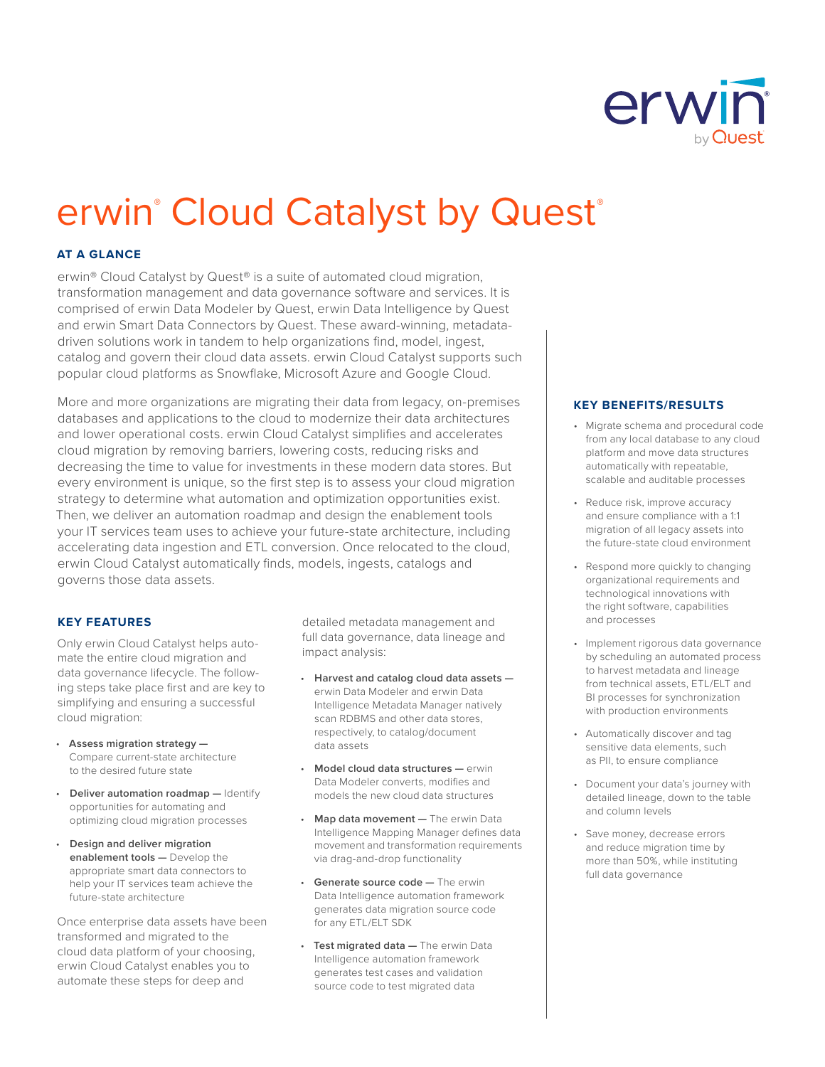

# erwin<sup>®</sup> Cloud Catalyst by Quest®

## **AT A GLANCE**

erwin® Cloud Catalyst by Quest® is a suite of automated cloud migration, transformation management and data governance software and services. It is comprised of erwin Data Modeler by Quest, erwin Data Intelligence by Quest and erwin Smart Data Connectors by Quest. These award-winning, metadatadriven solutions work in tandem to help organizations find, model, ingest, catalog and govern their cloud data assets. erwin Cloud Catalyst supports such popular cloud platforms as Snowflake, Microsoft Azure and Google Cloud.

More and more organizations are migrating their data from legacy, on-premises databases and applications to the cloud to modernize their data architectures and lower operational costs. erwin Cloud Catalyst simplifies and accelerates cloud migration by removing barriers, lowering costs, reducing risks and decreasing the time to value for investments in these modern data stores. But every environment is unique, so the first step is to assess your cloud migration strategy to determine what automation and optimization opportunities exist. Then, we deliver an automation roadmap and design the enablement tools your IT services team uses to achieve your future-state architecture, including accelerating data ingestion and ETL conversion. Once relocated to the cloud, erwin Cloud Catalyst automatically finds, models, ingests, catalogs and governs those data assets.

#### **KEY FEATURES**

Only erwin Cloud Catalyst helps automate the entire cloud migration and data governance lifecycle. The following steps take place first and are key to simplifying and ensuring a successful cloud migration:

- **Assess migration strategy —** Compare current-state architecture to the desired future state
- **Deliver automation roadmap —** Identify opportunities for automating and optimizing cloud migration processes
- **Design and deliver migration enablement tools —** Develop the appropriate smart data connectors to help your IT services team achieve the future-state architecture

Once enterprise data assets have been transformed and migrated to the cloud data platform of your choosing, erwin Cloud Catalyst enables you to automate these steps for deep and

detailed metadata management and full data governance, data lineage and impact analysis:

- **Harvest and catalog cloud data assets**  erwin Data Modeler and erwin Data Intelligence Metadata Manager natively scan RDBMS and other data stores, respectively, to catalog/document data assets
- **Model cloud data structures —** erwin Data Modeler converts, modifies and models the new cloud data structures
- **Map data movement —** The erwin Data Intelligence Mapping Manager defines data movement and transformation requirements via drag-and-drop functionality
- **Generate source code The erwin** Data Intelligence automation framework generates data migration source code for any ETL/ELT SDK
- **Test migrated data —** The erwin Data Intelligence automation framework generates test cases and validation source code to test migrated data

### **KEY BENEFITS/RESULTS**

- Migrate schema and procedural code from any local database to any cloud platform and move data structures automatically with repeatable, scalable and auditable processes
- Reduce risk, improve accuracy and ensure compliance with a 1:1 migration of all legacy assets into the future-state cloud environment
- Respond more quickly to changing organizational requirements and technological innovations with the right software, capabilities and processes
- Implement rigorous data governance by scheduling an automated process to harvest metadata and lineage from technical assets, ETL/ELT and BI processes for synchronization with production environments
- Automatically discover and tag sensitive data elements, such as PII, to ensure compliance
- Document your data's journey with detailed lineage, down to the table and column levels
- Save money, decrease errors and reduce migration time by more than 50%, while instituting full data governance